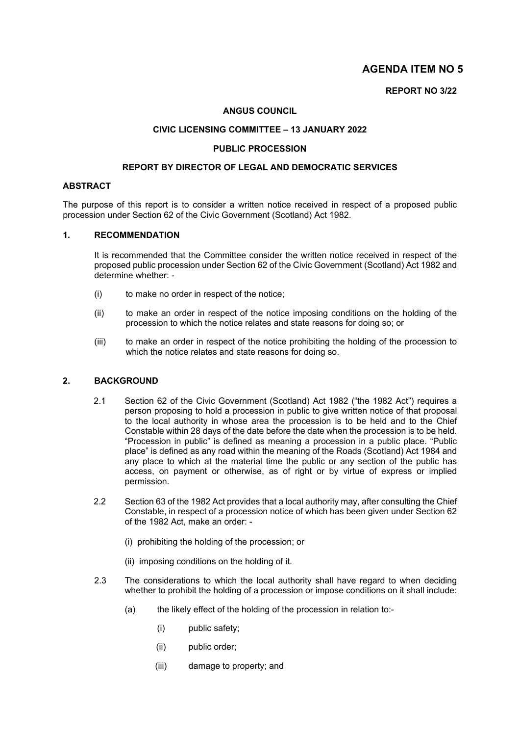## **AGENDA ITEM NO 5**

### **REPORT NO 3/22**

#### **ANGUS COUNCIL**

### **CIVIC LICENSING COMMITTEE – 13 JANUARY 2022**

#### **PUBLIC PROCESSION**

#### **REPORT BY DIRECTOR OF LEGAL AND DEMOCRATIC SERVICES**

#### **ABSTRACT**

The purpose of this report is to consider a written notice received in respect of a proposed public procession under Section 62 of the Civic Government (Scotland) Act 1982.

### **1. RECOMMENDATION**

It is recommended that the Committee consider the written notice received in respect of the proposed public procession under Section 62 of the Civic Government (Scotland) Act 1982 and determine whether: -

- (i) to make no order in respect of the notice;
- (ii) to make an order in respect of the notice imposing conditions on the holding of the procession to which the notice relates and state reasons for doing so; or
- (iii) to make an order in respect of the notice prohibiting the holding of the procession to which the notice relates and state reasons for doing so.

#### **2. BACKGROUND**

- 2.1 Section 62 of the Civic Government (Scotland) Act 1982 ("the 1982 Act") requires a person proposing to hold a procession in public to give written notice of that proposal to the local authority in whose area the procession is to be held and to the Chief Constable within 28 days of the date before the date when the procession is to be held. "Procession in public" is defined as meaning a procession in a public place. "Public place" is defined as any road within the meaning of the Roads (Scotland) Act 1984 and any place to which at the material time the public or any section of the public has access, on payment or otherwise, as of right or by virtue of express or implied permission.
- 2.2 Section 63 of the 1982 Act provides that a local authority may, after consulting the Chief Constable, in respect of a procession notice of which has been given under Section 62 of the 1982 Act, make an order: -
	- (i) prohibiting the holding of the procession; or
	- (ii) imposing conditions on the holding of it.
- 2.3 The considerations to which the local authority shall have regard to when deciding whether to prohibit the holding of a procession or impose conditions on it shall include:
	- (a) the likely effect of the holding of the procession in relation to:-
		- (i) public safety;
		- (ii) public order;
		- (iii) damage to property; and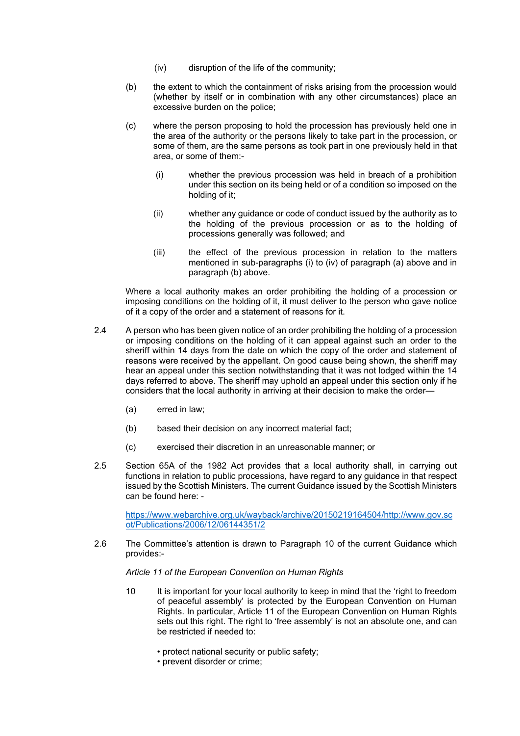- (iv) disruption of the life of the community;
- (b) the extent to which the containment of risks arising from the procession would (whether by itself or in combination with any other circumstances) place an excessive burden on the police;
- (c) where the person proposing to hold the procession has previously held one in the area of the authority or the persons likely to take part in the procession, or some of them, are the same persons as took part in one previously held in that area, or some of them:-
	- (i) whether the previous procession was held in breach of a prohibition under this section on its being held or of a condition so imposed on the holding of it;
	- (ii) whether any guidance or code of conduct issued by the authority as to the holding of the previous procession or as to the holding of processions generally was followed; and
	- (iii) the effect of the previous procession in relation to the matters mentioned in sub-paragraphs (i) to (iv) of paragraph (a) above and in paragraph (b) above.

Where a local authority makes an order prohibiting the holding of a procession or imposing conditions on the holding of it, it must deliver to the person who gave notice of it a copy of the order and a statement of reasons for it.

- 2.4 A person who has been given notice of an order prohibiting the holding of a procession or imposing conditions on the holding of it can appeal against such an order to the sheriff within 14 days from the date on which the copy of the order and statement of reasons were received by the appellant. On good cause being shown, the sheriff may hear an appeal under this section notwithstanding that it was not lodged within the 14 days referred to above. The sheriff may uphold an appeal under this section only if he considers that the local authority in arriving at their decision to make the order—
	- (a) erred in law;
	- (b) based their decision on any incorrect material fact;
	- (c) exercised their discretion in an unreasonable manner; or
- 2.5 Section 65A of the 1982 Act provides that a local authority shall, in carrying out functions in relation to public processions, have regard to any guidance in that respect issued by the Scottish Ministers. The current Guidance issued by the Scottish Ministers can be found here: -

[https://www.webarchive.org.uk/wayback/archive/20150219164504/http://www.gov.sc](https://www.webarchive.org.uk/wayback/archive/20150219164504/http:/www.gov.scot/Publications/2006/12/06144351/2) [ot/Publications/2006/12/06144351/2](https://www.webarchive.org.uk/wayback/archive/20150219164504/http:/www.gov.scot/Publications/2006/12/06144351/2)

2.6 The Committee's attention is drawn to Paragraph 10 of the current Guidance which provides:-

*Article 11 of the European Convention on Human Rights*

- 10 It is important for your local authority to keep in mind that the 'right to freedom of peaceful assembly' is protected by the European Convention on Human Rights. In particular, Article 11 of the European Convention on Human Rights sets out this right. The right to 'free assembly' is not an absolute one, and can be restricted if needed to:
	- protect national security or public safety;
	- prevent disorder or crime;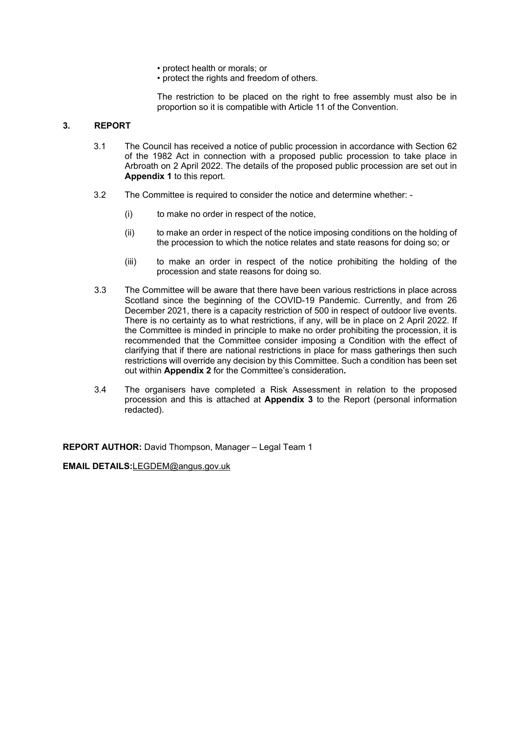- protect health or morals; or
- protect the rights and freedom of others.

The restriction to be placed on the right to free assembly must also be in proportion so it is compatible with Article 11 of the Convention.

### **3. REPORT**

- 3.1 The Council has received a notice of public procession in accordance with Section 62 of the 1982 Act in connection with a proposed public procession to take place in Arbroath on 2 April 2022. The details of the proposed public procession are set out in **Appendix 1** to this report.
- 3.2 The Committee is required to consider the notice and determine whether:
	- (i) to make no order in respect of the notice,
	- (ii) to make an order in respect of the notice imposing conditions on the holding of the procession to which the notice relates and state reasons for doing so; or
	- (iii) to make an order in respect of the notice prohibiting the holding of the procession and state reasons for doing so.
- 3.3 The Committee will be aware that there have been various restrictions in place across Scotland since the beginning of the COVID-19 Pandemic. Currently, and from 26 December 2021, there is a capacity restriction of 500 in respect of outdoor live events. There is no certainty as to what restrictions, if any, will be in place on 2 April 2022. If the Committee is minded in principle to make no order prohibiting the procession, it is recommended that the Committee consider imposing a Condition with the effect of clarifying that if there are national restrictions in place for mass gatherings then such restrictions will override any decision by this Committee. Such a condition has been set out within **Appendix 2** for the Committee's consideration**.**
- 3.4 The organisers have completed a Risk Assessment in relation to the proposed procession and this is attached at **Appendix 3** to the Report (personal information redacted).

**REPORT AUTHOR:** David Thompson, Manager – Legal Team 1

**EMAIL DETAILS:**[LEGDEM@angus.gov.uk](mailto:LEGDEM@angus.gov.uk)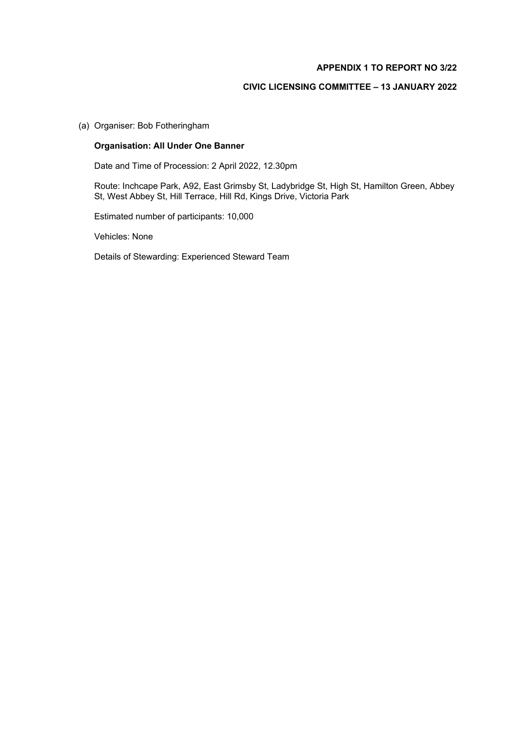### **APPENDIX 1 TO REPORT NO 3/22**

### **CIVIC LICENSING COMMITTEE – 13 JANUARY 2022**

(a) Organiser: Bob Fotheringham

### **Organisation: All Under One Banner**

Date and Time of Procession: 2 April 2022, 12.30pm

Route: Inchcape Park, A92, East Grimsby St, Ladybridge St, High St, Hamilton Green, Abbey St, West Abbey St, Hill Terrace, Hill Rd, Kings Drive, Victoria Park

Estimated number of participants: 10,000

Vehicles: None

Details of Stewarding: Experienced Steward Team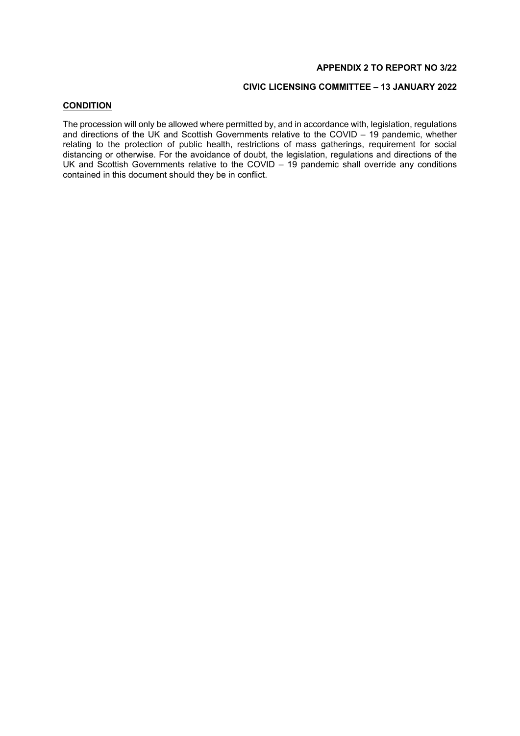### **APPENDIX 2 TO REPORT NO 3/22**

### **CIVIC LICENSING COMMITTEE – 13 JANUARY 2022**

### **CONDITION**

The procession will only be allowed where permitted by, and in accordance with, legislation, regulations and directions of the UK and Scottish Governments relative to the COVID – 19 pandemic, whether relating to the protection of public health, restrictions of mass gatherings, requirement for social distancing or otherwise. For the avoidance of doubt, the legislation, regulations and directions of the UK and Scottish Governments relative to the COVID – 19 pandemic shall override any conditions contained in this document should they be in conflict.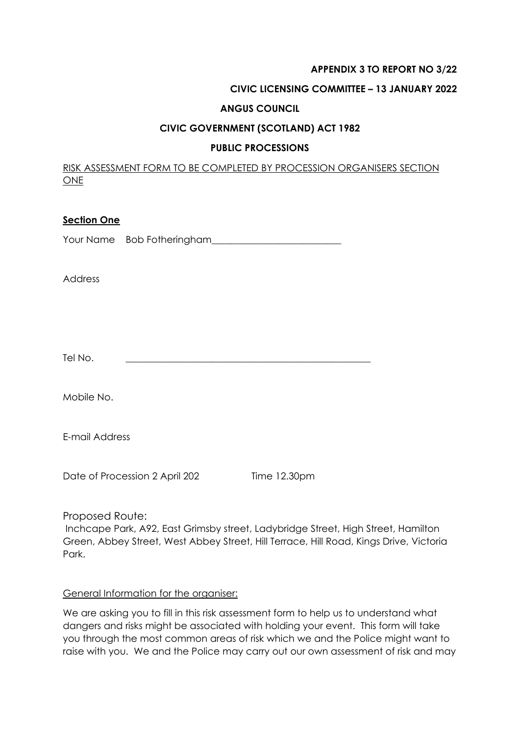### **APPENDIX 3 TO REPORT NO 3/22**

## **CIVIC LICENSING COMMITTEE – 13 JANUARY 2022**

### **ANGUS COUNCIL**

### **CIVIC GOVERNMENT (SCOTLAND) ACT 1982**

### **PUBLIC PROCESSIONS**

RISK ASSESSMENT FORM TO BE COMPLETED BY PROCESSION ORGANISERS SECTION ONE

### **Section One**

Your Name Bob Fotheringham\_\_\_\_\_\_\_\_\_\_\_\_\_\_\_\_\_\_\_\_\_\_\_\_\_\_\_

Address

Tel No. \_\_\_\_\_\_\_\_\_\_\_\_\_\_\_\_\_\_\_\_\_\_\_\_\_\_\_\_\_\_\_\_\_\_\_\_\_\_\_\_\_\_\_\_\_\_\_\_\_\_\_

Mobile No.

E-mail Address

Date of Procession 2 April 202 Time 12.30pm

Proposed Route:

Inchcape Park, A92, East Grimsby street, Ladybridge Street, High Street, Hamilton Green, Abbey Street, West Abbey Street, Hill Terrace, Hill Road, Kings Drive, Victoria Park.

### General Information for the organiser:

We are asking you to fill in this risk assessment form to help us to understand what dangers and risks might be associated with holding your event. This form will take you through the most common areas of risk which we and the Police might want to raise with you. We and the Police may carry out our own assessment of risk and may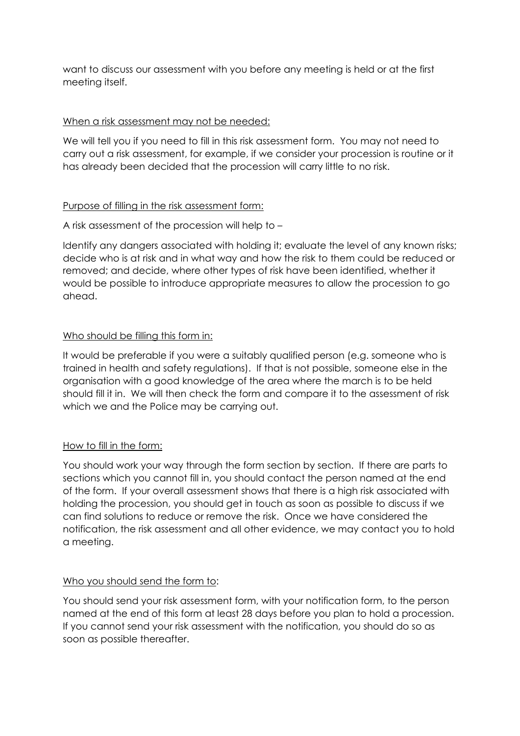want to discuss our assessment with you before any meeting is held or at the first meeting itself.

# When a risk assessment may not be needed:

We will tell you if you need to fill in this risk assessment form. You may not need to carry out a risk assessment, for example, if we consider your procession is routine or it has already been decided that the procession will carry little to no risk.

# Purpose of filling in the risk assessment form:

A risk assessment of the procession will help to –

Identify any dangers associated with holding it; evaluate the level of any known risks; decide who is at risk and in what way and how the risk to them could be reduced or removed; and decide, where other types of risk have been identified, whether it would be possible to introduce appropriate measures to allow the procession to go ahead.

# Who should be filling this form in:

It would be preferable if you were a suitably qualified person (e.g. someone who is trained in health and safety regulations). If that is not possible, someone else in the organisation with a good knowledge of the area where the march is to be held should fill it in. We will then check the form and compare it to the assessment of risk which we and the Police may be carrying out.

# How to fill in the form:

You should work your way through the form section by section. If there are parts to sections which you cannot fill in, you should contact the person named at the end of the form. If your overall assessment shows that there is a high risk associated with holding the procession, you should get in touch as soon as possible to discuss if we can find solutions to reduce or remove the risk. Once we have considered the notification, the risk assessment and all other evidence, we may contact you to hold a meeting.

# Who you should send the form to:

You should send your risk assessment form, with your notification form, to the person named at the end of this form at least 28 days before you plan to hold a procession. If you cannot send your risk assessment with the notification, you should do so as soon as possible thereafter.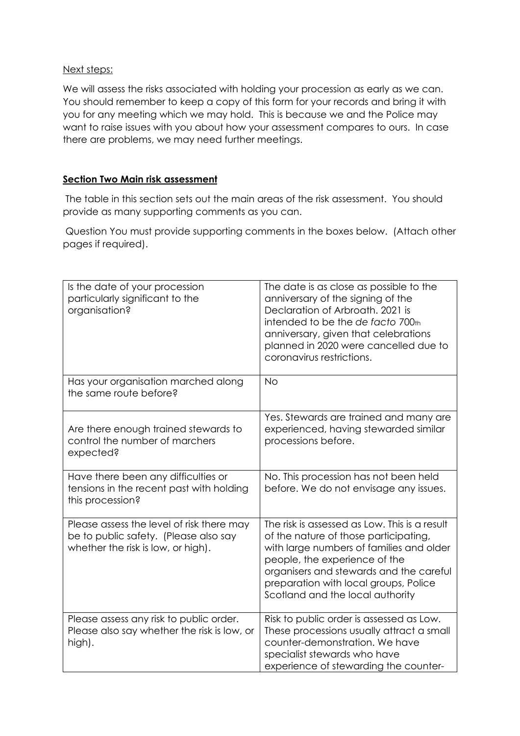## Next steps:

We will assess the risks associated with holding your procession as early as we can. You should remember to keep a copy of this form for your records and bring it with you for any meeting which we may hold. This is because we and the Police may want to raise issues with you about how your assessment compares to ours. In case there are problems, we may need further meetings.

# **Section Two Main risk assessment**

The table in this section sets out the main areas of the risk assessment. You should provide as many supporting comments as you can.

Question You must provide supporting comments in the boxes below. (Attach other pages if required).

| Is the date of your procession<br>particularly significant to the<br>organisation?                                       | The date is as close as possible to the<br>anniversary of the signing of the<br>Declaration of Arbroath, 2021 is<br>intended to be the de facto 700th<br>anniversary, given that celebrations<br>planned in 2020 were cancelled due to<br>coronavirus restrictions.                         |
|--------------------------------------------------------------------------------------------------------------------------|---------------------------------------------------------------------------------------------------------------------------------------------------------------------------------------------------------------------------------------------------------------------------------------------|
| Has your organisation marched along<br>the same route before?                                                            | <b>No</b>                                                                                                                                                                                                                                                                                   |
| Are there enough trained stewards to<br>control the number of marchers<br>expected?                                      | Yes. Stewards are trained and many are<br>experienced, having stewarded similar<br>processions before.                                                                                                                                                                                      |
| Have there been any difficulties or<br>tensions in the recent past with holding<br>this procession?                      | No. This procession has not been held<br>before. We do not envisage any issues.                                                                                                                                                                                                             |
| Please assess the level of risk there may<br>be to public safety. (Please also say<br>whether the risk is low, or high). | The risk is assessed as Low. This is a result<br>of the nature of those participating,<br>with large numbers of families and older<br>people, the experience of the<br>organisers and stewards and the careful<br>preparation with local groups, Police<br>Scotland and the local authority |
| Please assess any risk to public order.<br>Please also say whether the risk is low, or<br>high).                         | Risk to public order is assessed as Low.<br>These processions usually attract a small<br>counter-demonstration. We have<br>specialist stewards who have<br>experience of stewarding the counter-                                                                                            |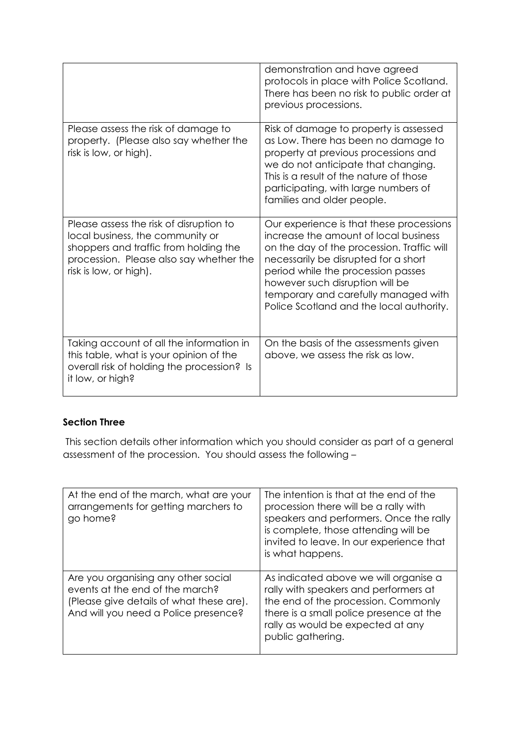|                                                                                                                                                                                           | demonstration and have agreed<br>protocols in place with Police Scotland.<br>There has been no risk to public order at<br>previous processions.                                                                                                                                                                                      |
|-------------------------------------------------------------------------------------------------------------------------------------------------------------------------------------------|--------------------------------------------------------------------------------------------------------------------------------------------------------------------------------------------------------------------------------------------------------------------------------------------------------------------------------------|
| Please assess the risk of damage to<br>property. (Please also say whether the<br>risk is low, or high).                                                                                   | Risk of damage to property is assessed<br>as Low. There has been no damage to<br>property at previous processions and<br>we do not anticipate that changing.<br>This is a result of the nature of those<br>participating, with large numbers of<br>families and older people.                                                        |
| Please assess the risk of disruption to<br>local business, the community or<br>shoppers and traffic from holding the<br>procession. Please also say whether the<br>risk is low, or high). | Our experience is that these processions<br>increase the amount of local business<br>on the day of the procession. Traffic will<br>necessarily be disrupted for a short<br>period while the procession passes<br>however such disruption will be<br>temporary and carefully managed with<br>Police Scotland and the local authority. |
| Taking account of all the information in<br>this table, what is your opinion of the<br>overall risk of holding the procession? Is<br>it low, or high?                                     | On the basis of the assessments given<br>above, we assess the risk as low.                                                                                                                                                                                                                                                           |

# **Section Three**

This section details other information which you should consider as part of a general assessment of the procession. You should assess the following –

| At the end of the march, what are your<br>arrangements for getting marchers to<br>go home?                                                                 | The intention is that at the end of the<br>procession there will be a rally with<br>speakers and performers. Once the rally<br>is complete, those attending will be<br>invited to leave. In our experience that<br>is what happens. |
|------------------------------------------------------------------------------------------------------------------------------------------------------------|-------------------------------------------------------------------------------------------------------------------------------------------------------------------------------------------------------------------------------------|
| Are you organising any other social<br>events at the end of the march?<br>(Please give details of what these are).<br>And will you need a Police presence? | As indicated above we will organise a<br>rally with speakers and performers at<br>the end of the procession. Commonly<br>there is a small police presence at the<br>rally as would be expected at any<br>public gathering.          |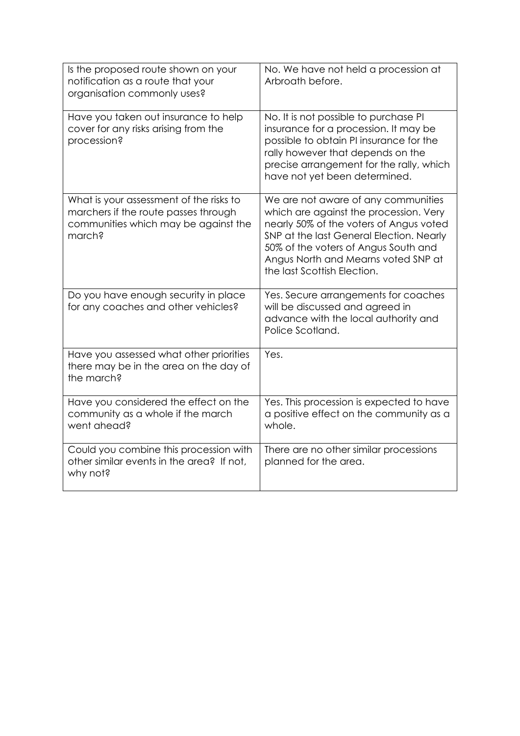| Is the proposed route shown on your<br>notification as a route that your<br>organisation commonly uses?                           | No. We have not held a procession at<br>Arbroath before.                                                                                                                                                                                                                           |
|-----------------------------------------------------------------------------------------------------------------------------------|------------------------------------------------------------------------------------------------------------------------------------------------------------------------------------------------------------------------------------------------------------------------------------|
| Have you taken out insurance to help<br>cover for any risks arising from the<br>procession?                                       | No. It is not possible to purchase PI<br>insurance for a procession. It may be<br>possible to obtain PI insurance for the<br>rally however that depends on the<br>precise arrangement for the rally, which<br>have not yet been determined.                                        |
| What is your assessment of the risks to<br>marchers if the route passes through<br>communities which may be against the<br>march? | We are not aware of any communities<br>which are against the procession. Very<br>nearly 50% of the voters of Angus voted<br>SNP at the last General Election. Nearly<br>50% of the voters of Angus South and<br>Angus North and Mearns voted SNP at<br>the last Scottish Election. |
| Do you have enough security in place<br>for any coaches and other vehicles?                                                       | Yes. Secure arrangements for coaches<br>will be discussed and agreed in<br>advance with the local authority and<br>Police Scotland.                                                                                                                                                |
| Have you assessed what other priorities<br>there may be in the area on the day of<br>the march?                                   | Yes.                                                                                                                                                                                                                                                                               |
| Have you considered the effect on the<br>community as a whole if the march<br>went ahead?                                         | Yes. This procession is expected to have<br>a positive effect on the community as a<br>whole.                                                                                                                                                                                      |
| Could you combine this procession with<br>other similar events in the area? If not,<br>why not?                                   | There are no other similar processions<br>planned for the area.                                                                                                                                                                                                                    |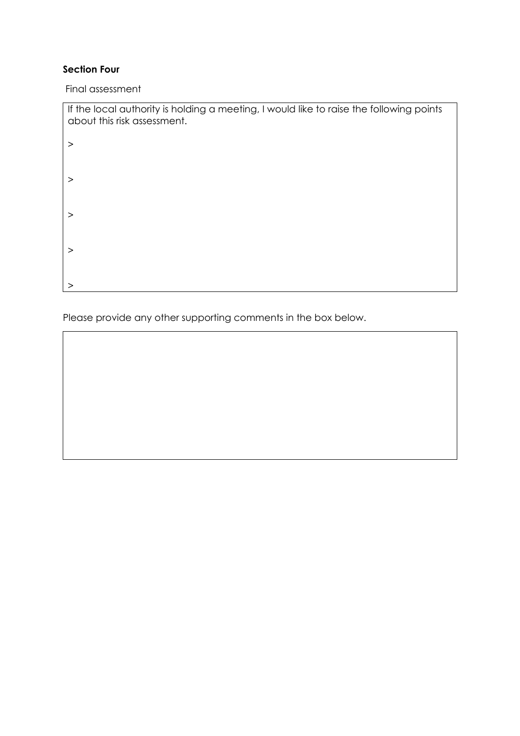# **Section Four**

Final assessment

| If the local authority is holding a meeting, I would like to raise the following points<br>about this risk assessment. |
|------------------------------------------------------------------------------------------------------------------------|
| >                                                                                                                      |
|                                                                                                                        |
| >                                                                                                                      |
| >                                                                                                                      |
|                                                                                                                        |
| >                                                                                                                      |
| >                                                                                                                      |

Please provide any other supporting comments in the box below.